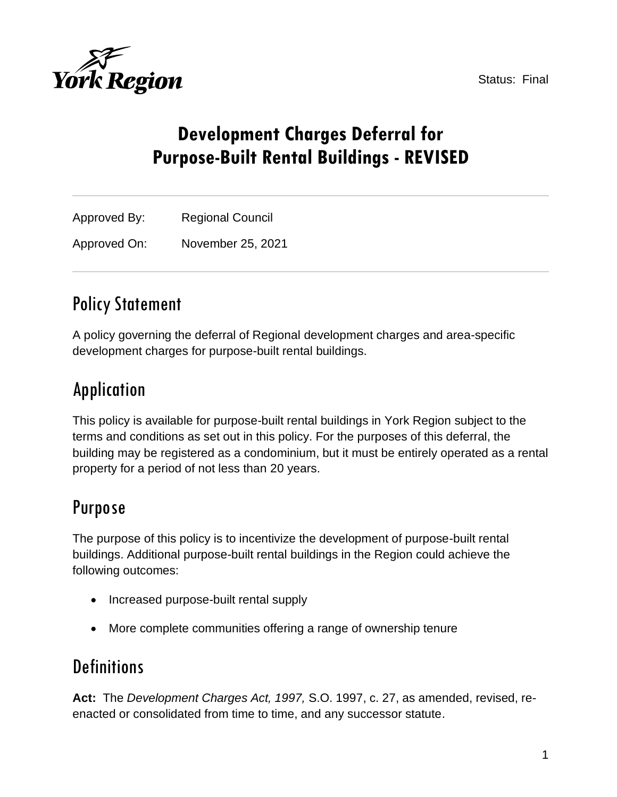Status: Final



# **Development Charges Deferral for Purpose-Built Rental Buildings - REVISED**

| Approved By: | <b>Regional Council</b> |
|--------------|-------------------------|
| Approved On: | November 25, 2021       |

## Policy Statement

A policy governing the deferral of Regional development charges and area-specific development charges for purpose-built rental buildings.

## Application

This policy is available for purpose-built rental buildings in York Region subject to the terms and conditions as set out in this policy. For the purposes of this deferral, the building may be registered as a condominium, but it must be entirely operated as a rental property for a period of not less than 20 years.

## Purpose

The purpose of this policy is to incentivize the development of purpose-built rental buildings. Additional purpose-built rental buildings in the Region could achieve the following outcomes:

- Increased purpose-built rental supply
- More complete communities offering a range of ownership tenure

## **Definitions**

**Act:** The *Development Charges Act, 1997,* S.O. 1997, c. 27, as amended, revised, reenacted or consolidated from time to time, and any successor statute.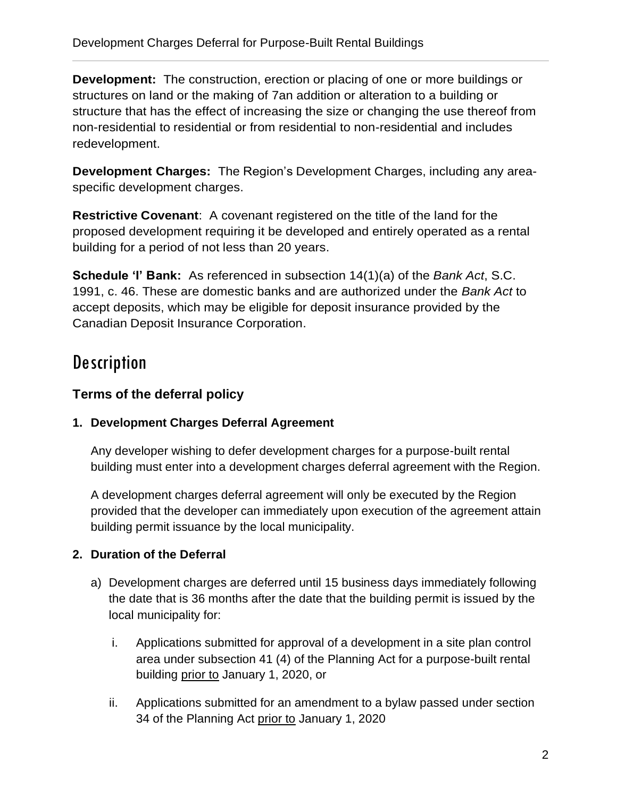**Development:** The construction, erection or placing of one or more buildings or structures on land or the making of 7an addition or alteration to a building or structure that has the effect of increasing the size or changing the use thereof from non-residential to residential or from residential to non-residential and includes redevelopment.

**Development Charges:** The Region's Development Charges, including any areaspecific development charges.

**Restrictive Covenant**: A covenant registered on the title of the land for the proposed development requiring it be developed and entirely operated as a rental building for a period of not less than 20 years.

**Schedule 'I' Bank:** As referenced in subsection 14(1)(a) of the *Bank Act*, S.C. 1991, c. 46. These are domestic banks and are authorized under the *Bank Act* to accept deposits, which may be eligible for deposit insurance provided by the Canadian Deposit Insurance Corporation.

## **Description**

## **Terms of the deferral policy**

### **1. Development Charges Deferral Agreement**

Any developer wishing to defer development charges for a purpose-built rental building must enter into a development charges deferral agreement with the Region.

A development charges deferral agreement will only be executed by the Region provided that the developer can immediately upon execution of the agreement attain building permit issuance by the local municipality.

## **2. Duration of the Deferral**

- a) Development charges are deferred until 15 business days immediately following the date that is 36 months after the date that the building permit is issued by the local municipality for:
	- i. Applications submitted for approval of a development in a site plan control area under subsection 41 (4) of the Planning Act for a purpose-built rental building prior to January 1, 2020, or
	- ii. Applications submitted for an amendment to a bylaw passed under section 34 of the Planning Act prior to January 1, 2020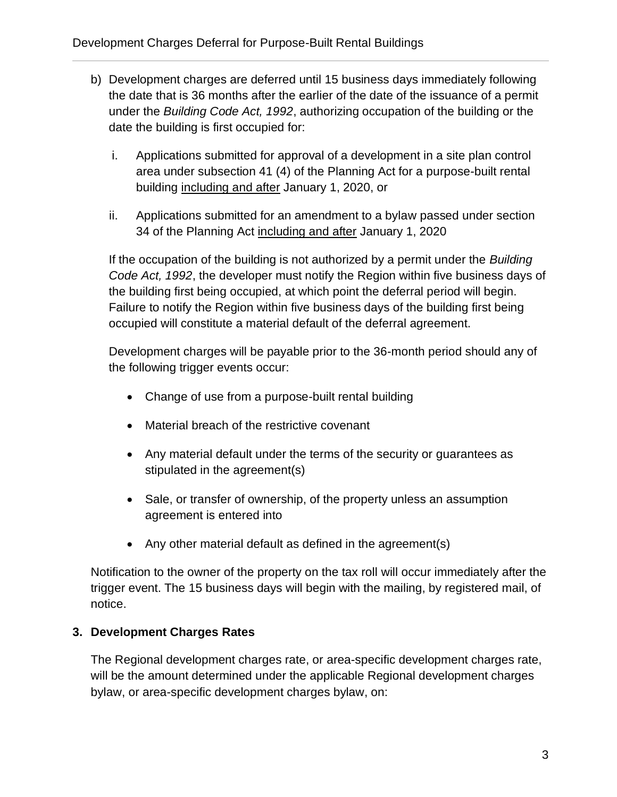- b) Development charges are deferred until 15 business days immediately following the date that is 36 months after the earlier of the date of the issuance of a permit under the *Building Code Act, 1992*, authorizing occupation of the building or the date the building is first occupied for:
	- i. Applications submitted for approval of a development in a site plan control area under subsection 41 (4) of the Planning Act for a purpose-built rental building including and after January 1, 2020, or
	- ii. Applications submitted for an amendment to a bylaw passed under section 34 of the Planning Act including and after January 1, 2020

If the occupation of the building is not authorized by a permit under the *Building Code Act, 1992*, the developer must notify the Region within five business days of the building first being occupied, at which point the deferral period will begin. Failure to notify the Region within five business days of the building first being occupied will constitute a material default of the deferral agreement.

Development charges will be payable prior to the 36-month period should any of the following trigger events occur:

- Change of use from a purpose-built rental building
- Material breach of the restrictive covenant
- Any material default under the terms of the security or guarantees as stipulated in the agreement(s)
- Sale, or transfer of ownership, of the property unless an assumption agreement is entered into
- Any other material default as defined in the agreement(s)

Notification to the owner of the property on the tax roll will occur immediately after the trigger event. The 15 business days will begin with the mailing, by registered mail, of notice.

### **3. Development Charges Rates**

The Regional development charges rate, or area-specific development charges rate, will be the amount determined under the applicable Regional development charges bylaw, or area-specific development charges bylaw, on: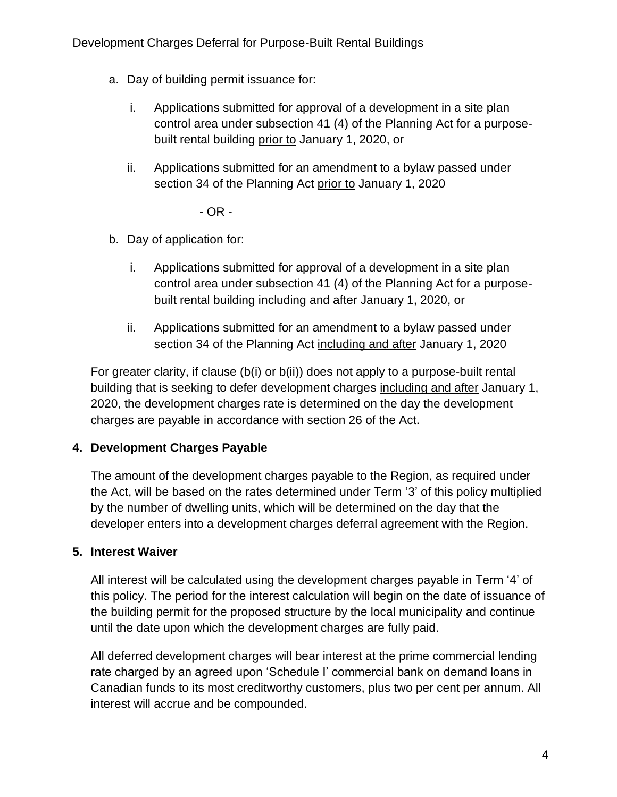- a. Day of building permit issuance for:
	- i. Applications submitted for approval of a development in a site plan control area under subsection 41 (4) of the Planning Act for a purposebuilt rental building prior to January 1, 2020, or
	- ii. Applications submitted for an amendment to a bylaw passed under section 34 of the Planning Act prior to January 1, 2020

- OR -

- b. Day of application for:
	- i. Applications submitted for approval of a development in a site plan control area under subsection 41 (4) of the Planning Act for a purposebuilt rental building including and after January 1, 2020, or
	- ii. Applications submitted for an amendment to a bylaw passed under section 34 of the Planning Act including and after January 1, 2020

For greater clarity, if clause (b(i) or b(ii)) does not apply to a purpose-built rental building that is seeking to defer development charges including and after January 1, 2020, the development charges rate is determined on the day the development charges are payable in accordance with section 26 of the Act.

### **4. Development Charges Payable**

The amount of the development charges payable to the Region, as required under the Act, will be based on the rates determined under Term '3' of this policy multiplied by the number of dwelling units, which will be determined on the day that the developer enters into a development charges deferral agreement with the Region.

### **5. Interest Waiver**

All interest will be calculated using the development charges payable in Term '4' of this policy. The period for the interest calculation will begin on the date of issuance of the building permit for the proposed structure by the local municipality and continue until the date upon which the development charges are fully paid.

All deferred development charges will bear interest at the prime commercial lending rate charged by an agreed upon 'Schedule I' commercial bank on demand loans in Canadian funds to its most creditworthy customers, plus two per cent per annum. All interest will accrue and be compounded.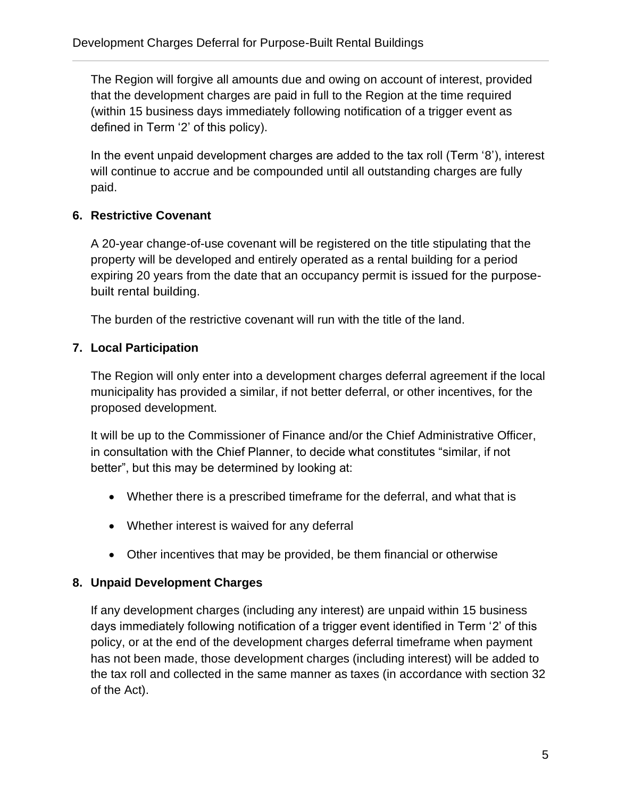The Region will forgive all amounts due and owing on account of interest, provided that the development charges are paid in full to the Region at the time required (within 15 business days immediately following notification of a trigger event as defined in Term '2' of this policy).

In the event unpaid development charges are added to the tax roll (Term '8'), interest will continue to accrue and be compounded until all outstanding charges are fully paid.

## **6. Restrictive Covenant**

A 20-year change-of-use covenant will be registered on the title stipulating that the property will be developed and entirely operated as a rental building for a period expiring 20 years from the date that an occupancy permit is issued for the purposebuilt rental building.

The burden of the restrictive covenant will run with the title of the land.

## **7. Local Participation**

The Region will only enter into a development charges deferral agreement if the local municipality has provided a similar, if not better deferral, or other incentives, for the proposed development.

It will be up to the Commissioner of Finance and/or the Chief Administrative Officer, in consultation with the Chief Planner, to decide what constitutes "similar, if not better", but this may be determined by looking at:

- Whether there is a prescribed timeframe for the deferral, and what that is
- Whether interest is waived for any deferral
- Other incentives that may be provided, be them financial or otherwise

### **8. Unpaid Development Charges**

If any development charges (including any interest) are unpaid within 15 business days immediately following notification of a trigger event identified in Term '2' of this policy, or at the end of the development charges deferral timeframe when payment has not been made, those development charges (including interest) will be added to the tax roll and collected in the same manner as taxes (in accordance with section 32 of the Act).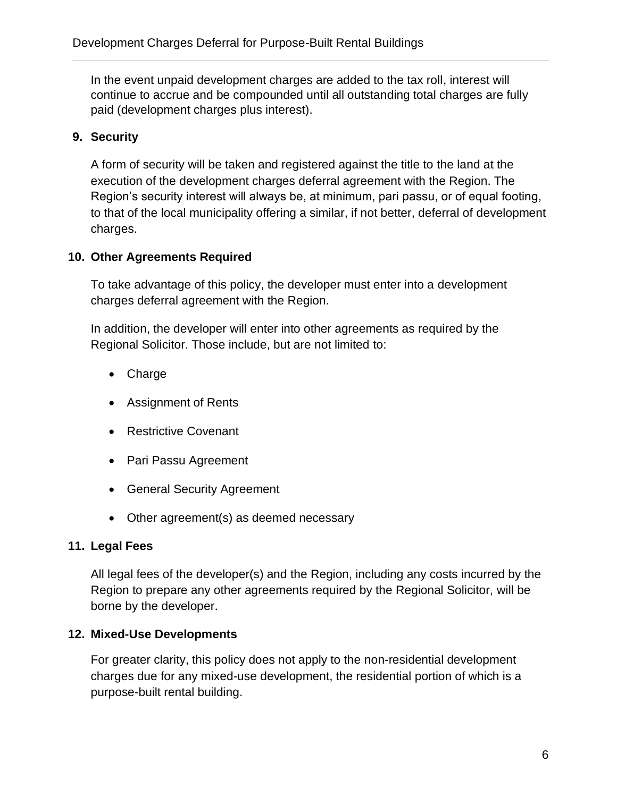In the event unpaid development charges are added to the tax roll, interest will continue to accrue and be compounded until all outstanding total charges are fully paid (development charges plus interest).

### **9. Security**

A form of security will be taken and registered against the title to the land at the execution of the development charges deferral agreement with the Region. The Region's security interest will always be, at minimum, pari passu, or of equal footing, to that of the local municipality offering a similar, if not better, deferral of development charges.

#### **10. Other Agreements Required**

To take advantage of this policy, the developer must enter into a development charges deferral agreement with the Region.

In addition, the developer will enter into other agreements as required by the Regional Solicitor. Those include, but are not limited to:

- Charge
- Assignment of Rents
- Restrictive Covenant
- Pari Passu Agreement
- General Security Agreement
- Other agreement(s) as deemed necessary

#### **11. Legal Fees**

All legal fees of the developer(s) and the Region, including any costs incurred by the Region to prepare any other agreements required by the Regional Solicitor, will be borne by the developer.

#### **12. Mixed-Use Developments**

For greater clarity, this policy does not apply to the non-residential development charges due for any mixed-use development, the residential portion of which is a purpose-built rental building.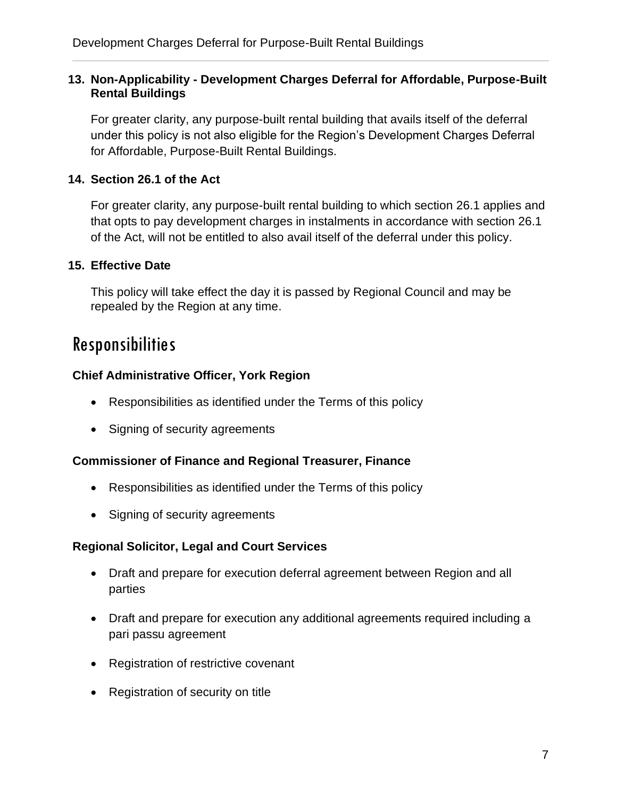#### **13. Non-Applicability - Development Charges Deferral for Affordable, Purpose-Built Rental Buildings**

For greater clarity, any purpose-built rental building that avails itself of the deferral under this policy is not also eligible for the Region's Development Charges Deferral for Affordable, Purpose-Built Rental Buildings.

### **14. Section 26.1 of the Act**

For greater clarity, any purpose-built rental building to which section 26.1 applies and that opts to pay development charges in instalments in accordance with section 26.1 of the Act, will not be entitled to also avail itself of the deferral under this policy.

#### **15. Effective Date**

This policy will take effect the day it is passed by Regional Council and may be repealed by the Region at any time.

## Responsibilities

#### **Chief Administrative Officer, York Region**

- Responsibilities as identified under the Terms of this policy
- Signing of security agreements

#### **Commissioner of Finance and Regional Treasurer, Finance**

- Responsibilities as identified under the Terms of this policy
- Signing of security agreements

#### **Regional Solicitor, Legal and Court Services**

- Draft and prepare for execution deferral agreement between Region and all parties
- Draft and prepare for execution any additional agreements required including a pari passu agreement
- Registration of restrictive covenant
- Registration of security on title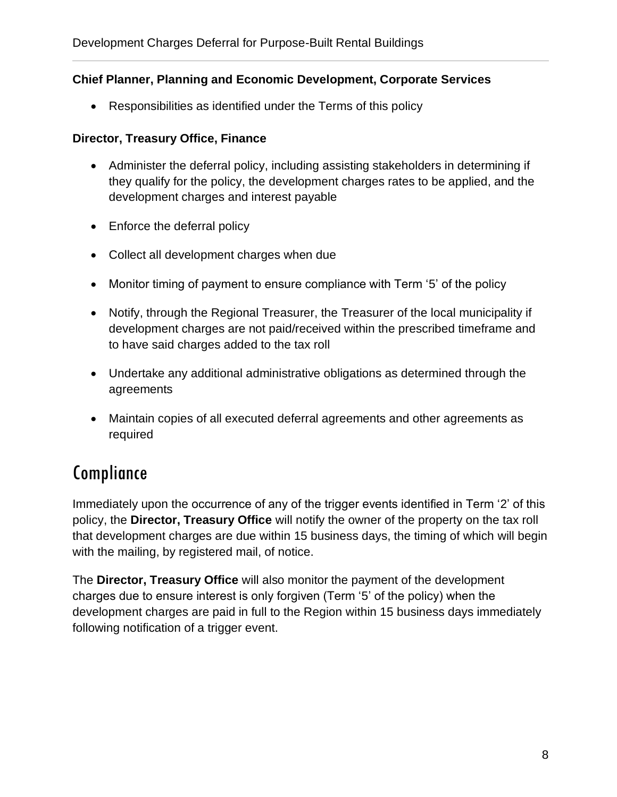#### **Chief Planner, Planning and Economic Development, Corporate Services**

• Responsibilities as identified under the Terms of this policy

#### **Director, Treasury Office, Finance**

- Administer the deferral policy, including assisting stakeholders in determining if they qualify for the policy, the development charges rates to be applied, and the development charges and interest payable
- Enforce the deferral policy
- Collect all development charges when due
- Monitor timing of payment to ensure compliance with Term '5' of the policy
- Notify, through the Regional Treasurer, the Treasurer of the local municipality if development charges are not paid/received within the prescribed timeframe and to have said charges added to the tax roll
- Undertake any additional administrative obligations as determined through the agreements
- Maintain copies of all executed deferral agreements and other agreements as required

## Compliance

Immediately upon the occurrence of any of the trigger events identified in Term '2' of this policy, the **Director, Treasury Office** will notify the owner of the property on the tax roll that development charges are due within 15 business days, the timing of which will begin with the mailing, by registered mail, of notice.

The **Director, Treasury Office** will also monitor the payment of the development charges due to ensure interest is only forgiven (Term '5' of the policy) when the development charges are paid in full to the Region within 15 business days immediately following notification of a trigger event.